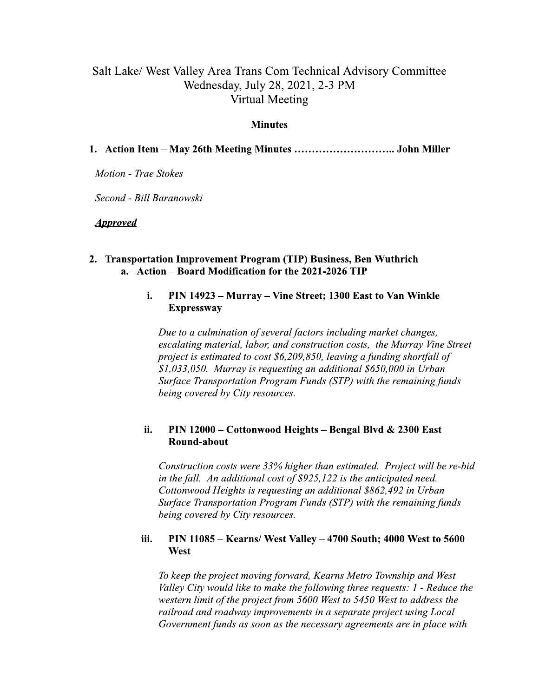# Salt Lake/ West Valley Area Trans Com Technical Advisory Committee Wednesday, July 28, 2021, 2-3 PM **Virtual Meeting**

### **Minutes**

## 

**Motion - Trae Stokes** 

Second - Bill Baranowski

**Approved** 

### 2. Transportation Improvement Program (TIP) Business, Ben Wuthrich a. Action - Board Modification for the 2021-2026 TIP

### i. PIN 14923 – Murray – Vine Street; 1300 East to Van Winkle **Expressway**

Due to a culmination of several factors including market changes, escalating material, labor, and construction costs, the Murray Vine Street project is estimated to cost \$6,209,850, leaving a funding shortfall of  $$1,033,050$ . Murray is requesting an additional  $$650,000$  in Urban Surface Transportation Program Funds (STP) with the remaining funds being covered by City resources.

### ii. PIN 12000 - Cottonwood Heights - Bengal Blvd & 2300 East Round-about

Construction costs were 33% higher than estimated. Project will be re-bid in the fall. An additional cost of \$925,122 is the anticipated need. Cottonwood Heights is requesting an additional \$862,492 in Urban Surface Transportation Program Funds (STP) with the remaining funds being covered by City resources.

### PIN 11085 - Kearns/ West Valley - 4700 South; 4000 West to 5600 iii. West

To keep the project moving forward, Kearns Metro Township and West Valley City would like to make the following three requests: 1 - Reduce the western limit of the project from 5600 West to 5450 West to address the railroad and roadway improvements in a separate project using Local Government funds as soon as the necessary agreements are in place with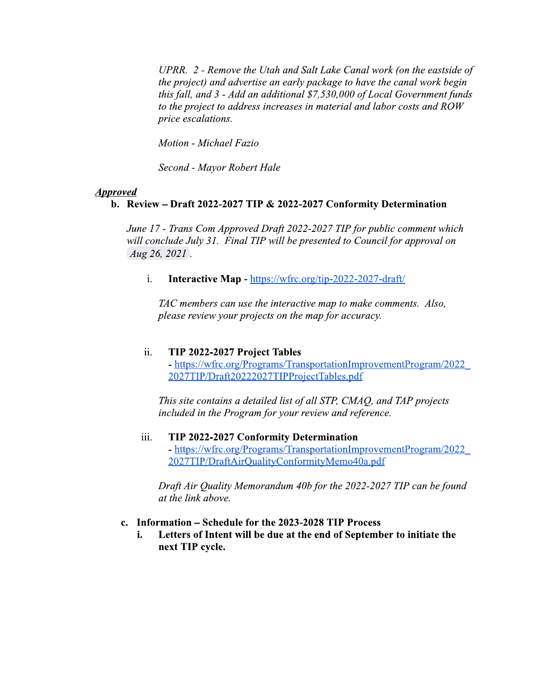UPRR. 2 - Remove the Utah and Salt Lake Canal work (on the eastside of the project) and advertise an early package to have the canal work begin this fall, and 3 - Add an additional \$7,530,000 of Local Government funds to the project to address increases in material and labor costs and ROW price escalations.

Motion - Michael Fazio

Second - Mayor Robert Hale

### **Approved**

# b. Review - Draft 2022-2027 TIP & 2022-2027 Conformity Determination

June 17 - Trans Com Approved Draft 2022-2027 TIP for public comment which will conclude July 31. Final TIP will be presented to Council for approval on Aug 26, 2021.

 $\mathbf{i}$ . **Interactive Map - https://wfrc.org/tip-2022-2027-draft/** 

TAC members can use the interactive map to make comments. Also, please review your projects on the map for accuracy.

#### ii. TIP 2022-2027 Project Tables

- https://wfrc.org/Programs/TransportationImprovementProgram/2022 2027TIP/Draft20222027TIPProjectTables.pdf

This site contains a detailed list of all STP, CMAQ, and TAP projects included in the Program for your review and reference.

### TIP 2022-2027 Conformity Determination iii. - https://wfrc.org/Programs/TransportationImprovementProgram/2022 2027TIP/DraftAirQualityConformityMemo40a.pdf

Draft Air Quality Memorandum 40b for the 2022-2027 TIP can be found at the link above.

### c. Information – Schedule for the 2023-2028 TIP Process

i. Letters of Intent will be due at the end of September to initiate the next TIP cycle.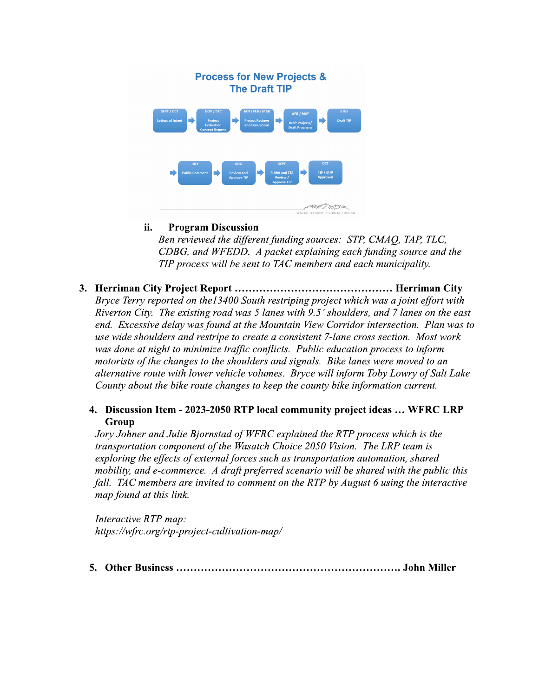

#### ii. **Program Discussion**

Ben reviewed the different funding sources: STP, CMAO, TAP, TLC, CDBG, and WFEDD. A packet explaining each funding source and the TIP process will be sent to TAC members and each municipality.

Bryce Terry reported on the 13400 South restriping project which was a joint effort with Riverton City. The existing road was 5 lanes with 9.5' shoulders, and 7 lanes on the east end. Excessive delay was found at the Mountain View Corridor intersection. Plan was to use wide shoulders and restripe to create a consistent 7-lane cross section. Most work was done at night to minimize traffic conflicts. Public education process to inform motorists of the changes to the shoulders and signals. Bike lanes were moved to an alternative route with lower vehicle volumes. Bryce will inform Toby Lowry of Salt Lake County about the bike route changes to keep the county bike information current.

# 4. Discussion Item - 2023-2050 RTP local community project ideas ... WFRC LRP Group

Jory Johner and Julie Bjornstad of WFRC explained the RTP process which is the transportation component of the Wasatch Choice 2050 Vision. The LRP team is exploring the effects of external forces such as transportation automation, shared mobility, and e-commerce. A draft preferred scenario will be shared with the public this fall. TAC members are invited to comment on the RTP by August 6 using the interactive map found at this link.

Interactive RTP map: https://wfrc.org/rtp-project-cultivation-map/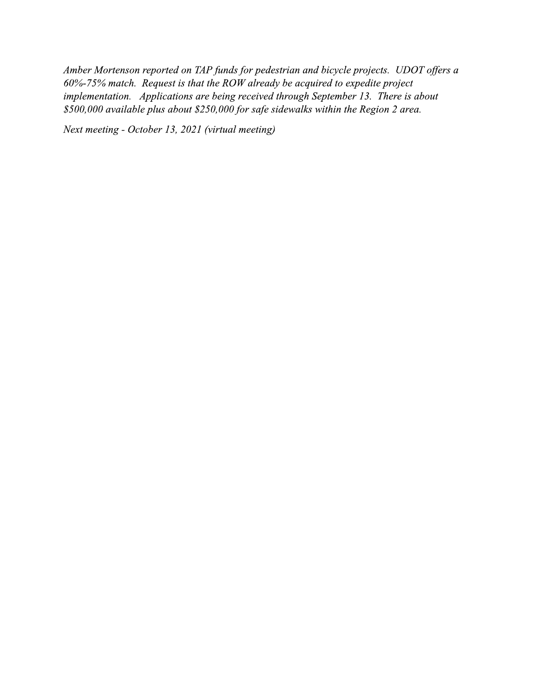Amber Mortenson reported on TAP funds for pedestrian and bicycle projects. UDOT offers a 60%-75% match. Request is that the ROW already be acquired to expedite project implementation. Applications are being received through September 13. There is about \$500,000 available plus about \$250,000 for safe sidewalks within the Region 2 area.

Next meeting - October 13, 2021 (virtual meeting)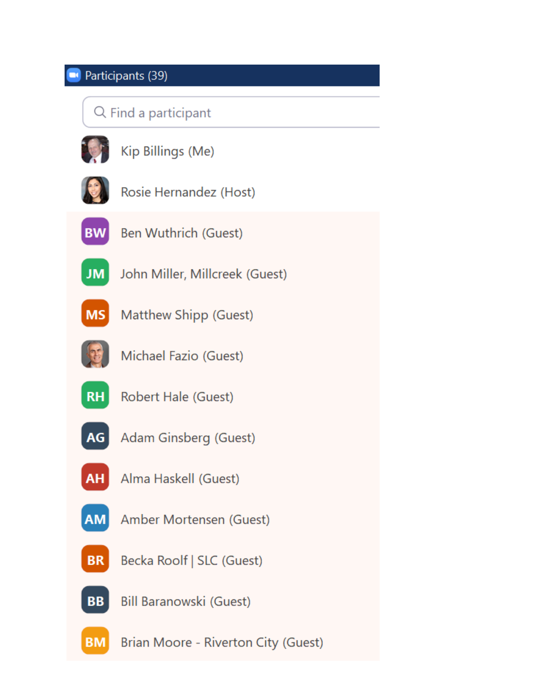### Participants (39) **DC**

# Q Find a participant



Kip Billings (Me)



Rosie Hernandez (Host)



**Ben Wuthrich (Guest)** 



John Miller, Millcreek (Guest)



Matthew Shipp (Guest)



Michael Fazio (Guest)



Robert Hale (Guest)



Adam Ginsberg (Guest)



Alma Haskell (Guest)



Amber Mortensen (Guest)

Becka Roolf | SLC (Guest) **BR** 



**Bill Baranowski (Guest)** 

**BM** Brian Moore - Riverton City (Guest)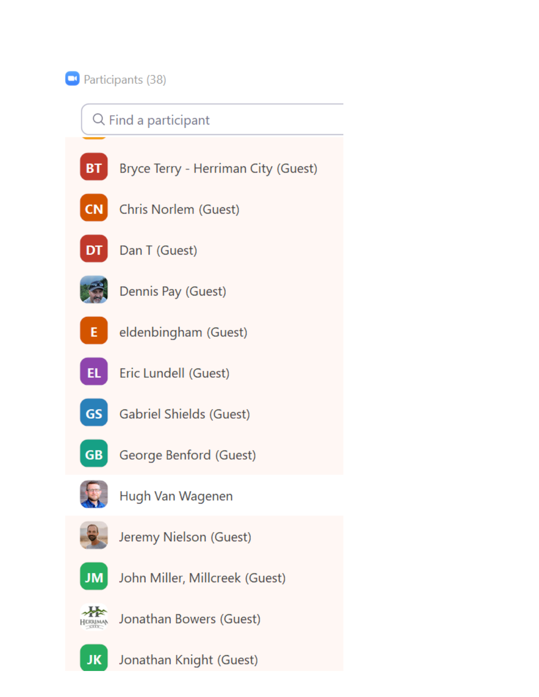# **D** Participants (38)





Jonathan Knight (Guest)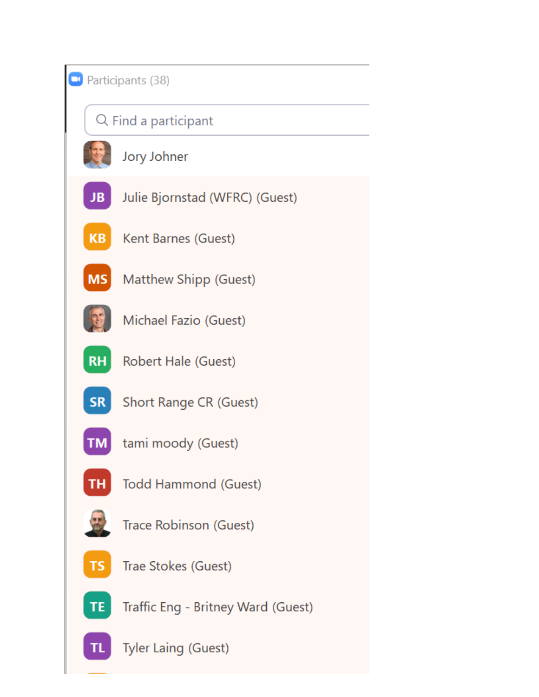|                      | Participants (38) |                                    |
|----------------------|-------------------|------------------------------------|
| Q Find a participant |                   |                                    |
|                      |                   | Jory Johner                        |
|                      | JB.               | Julie Bjornstad (WFRC) (Guest)     |
|                      | <b>KB</b>         | Kent Barnes (Guest)                |
|                      | <b>MS</b>         | Matthew Shipp (Guest)              |
|                      |                   | Michael Fazio (Guest)              |
|                      | <b>RH</b>         | <b>Robert Hale (Guest)</b>         |
|                      | <b>SR</b>         | <b>Short Range CR (Guest)</b>      |
|                      |                   | tami moody (Guest)                 |
|                      |                   | <b>Todd Hammond (Guest)</b>        |
|                      |                   | Trace Robinson (Guest)             |
|                      | <b>TS</b>         | Trae Stokes (Guest)                |
|                      | <b>TE</b>         | Traffic Eng - Britney Ward (Guest) |
|                      | TL.               | <b>Tyler Laing (Guest)</b>         |